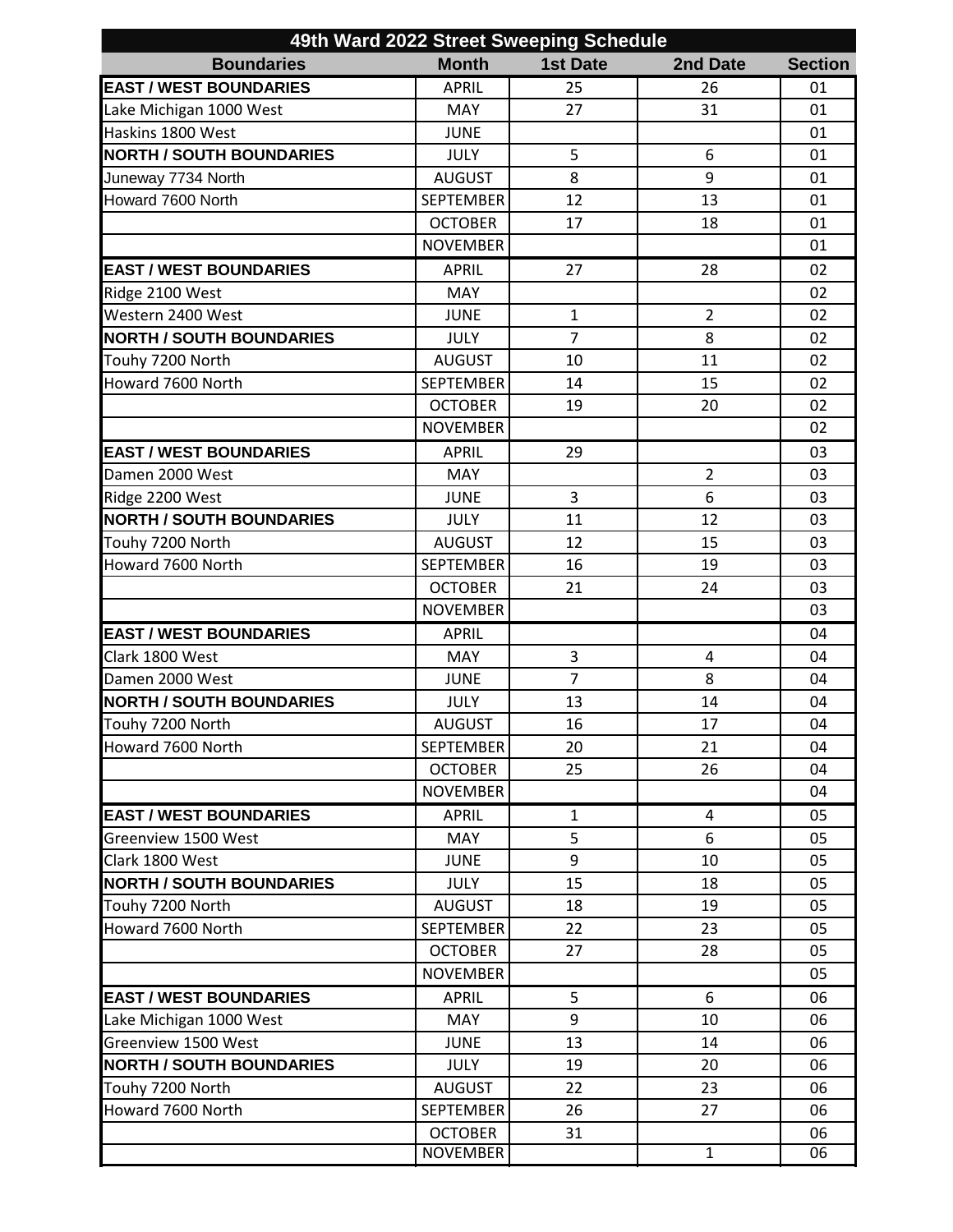| 49th Ward 2022 Street Sweeping Schedule |                  |                 |                |                |  |  |  |
|-----------------------------------------|------------------|-----------------|----------------|----------------|--|--|--|
| <b>Boundaries</b>                       | <b>Month</b>     | <b>1st Date</b> | 2nd Date       | <b>Section</b> |  |  |  |
| <b>EAST / WEST BOUNDARIES</b>           | <b>APRIL</b>     | 25              | 26             | 01             |  |  |  |
| Lake Michigan 1000 West                 | <b>MAY</b>       | 27              | 31             | 01             |  |  |  |
| Haskins 1800 West                       | <b>JUNE</b>      |                 |                | 01             |  |  |  |
| <b>NORTH / SOUTH BOUNDARIES</b>         | <b>JULY</b>      | 5               | 6              | 01             |  |  |  |
| Juneway 7734 North                      | <b>AUGUST</b>    | 8               | 9              | 01             |  |  |  |
| Howard 7600 North                       | <b>SEPTEMBER</b> | 12              | 13             | 01             |  |  |  |
|                                         | <b>OCTOBER</b>   | 17              | 18             | 01             |  |  |  |
|                                         | <b>NOVEMBER</b>  |                 |                | 01             |  |  |  |
| <b>EAST / WEST BOUNDARIES</b>           | <b>APRIL</b>     | 27              | 28             | 02             |  |  |  |
| Ridge 2100 West                         | <b>MAY</b>       |                 |                | 02             |  |  |  |
| Western 2400 West                       | <b>JUNE</b>      | $\mathbf{1}$    | $\overline{2}$ | 02             |  |  |  |
| <b>NORTH / SOUTH BOUNDARIES</b>         | <b>JULY</b>      | $\overline{7}$  | 8              | 02             |  |  |  |
| Touhy 7200 North                        | <b>AUGUST</b>    | 10              | 11             | 02             |  |  |  |
| Howard 7600 North                       | <b>SEPTEMBER</b> | 14              | 15             | 02             |  |  |  |
|                                         | <b>OCTOBER</b>   | 19              | 20             | 02             |  |  |  |
|                                         | <b>NOVEMBER</b>  |                 |                | 02             |  |  |  |
| <b>EAST / WEST BOUNDARIES</b>           | <b>APRIL</b>     | 29              |                | 03             |  |  |  |
| Damen 2000 West                         | <b>MAY</b>       |                 | $\overline{2}$ | 03             |  |  |  |
| Ridge 2200 West                         | <b>JUNE</b>      | $\overline{3}$  | 6              | 03             |  |  |  |
| <b>NORTH / SOUTH BOUNDARIES</b>         | <b>JULY</b>      | 11              | 12             | 03             |  |  |  |
| Touhy 7200 North                        | <b>AUGUST</b>    | 12              | 15             | 03             |  |  |  |
| Howard 7600 North                       | <b>SEPTEMBER</b> | 16              | 19             | 03             |  |  |  |
|                                         | <b>OCTOBER</b>   | 21              | 24             | 03             |  |  |  |
|                                         | <b>NOVEMBER</b>  |                 |                | 03             |  |  |  |
| <b>EAST / WEST BOUNDARIES</b>           | <b>APRIL</b>     |                 |                | 04             |  |  |  |
| Clark 1800 West                         | MAY              | 3               | 4              | 04             |  |  |  |
| Damen 2000 West                         | <b>JUNE</b>      | $\overline{7}$  | 8              | 04             |  |  |  |
| <b>NORTH / SOUTH BOUNDARIES</b>         | <b>JULY</b>      | 13              | 14             | 04             |  |  |  |
| Touhy 7200 North                        | <b>AUGUST</b>    | 16              | 17             | 04             |  |  |  |
| Howard 7600 North                       | <b>SEPTEMBER</b> | 20              | 21             | 04             |  |  |  |
|                                         | <b>OCTOBER</b>   | 25              | 26             | 04             |  |  |  |
|                                         | <b>NOVEMBER</b>  |                 |                | 04             |  |  |  |
| <b>EAST / WEST BOUNDARIES</b>           | <b>APRIL</b>     | $\mathbf{1}$    | 4              | 05             |  |  |  |
| Greenview 1500 West                     | MAY              | 5               | 6              | 05             |  |  |  |
| Clark 1800 West                         | <b>JUNE</b>      | 9               | 10             | 05             |  |  |  |
| <b>NORTH / SOUTH BOUNDARIES</b>         | <b>JULY</b>      | 15              | 18             | 05             |  |  |  |
| Touhy 7200 North                        | <b>AUGUST</b>    | 18              | 19             | 05             |  |  |  |
| Howard 7600 North                       | <b>SEPTEMBER</b> | 22              | 23             | 05             |  |  |  |
|                                         | <b>OCTOBER</b>   | 27              | 28             | 05             |  |  |  |
|                                         | <b>NOVEMBER</b>  |                 |                | 05             |  |  |  |
| <b>EAST / WEST BOUNDARIES</b>           | <b>APRIL</b>     | 5               | 6              | 06             |  |  |  |
| Lake Michigan 1000 West                 | MAY              | 9               | 10             | 06             |  |  |  |
| Greenview 1500 West                     | <b>JUNE</b>      | 13              | 14             | 06             |  |  |  |
| <b>NORTH / SOUTH BOUNDARIES</b>         | <b>JULY</b>      | 19              | 20             | 06             |  |  |  |
| Touhy 7200 North                        | <b>AUGUST</b>    | 22              | 23             | 06             |  |  |  |
| Howard 7600 North                       | <b>SEPTEMBER</b> | 26              | 27             | 06             |  |  |  |
|                                         | <b>OCTOBER</b>   |                 |                |                |  |  |  |
|                                         | <b>NOVEMBER</b>  | 31              | $\overline{1}$ | 06<br>06       |  |  |  |
|                                         |                  |                 |                |                |  |  |  |